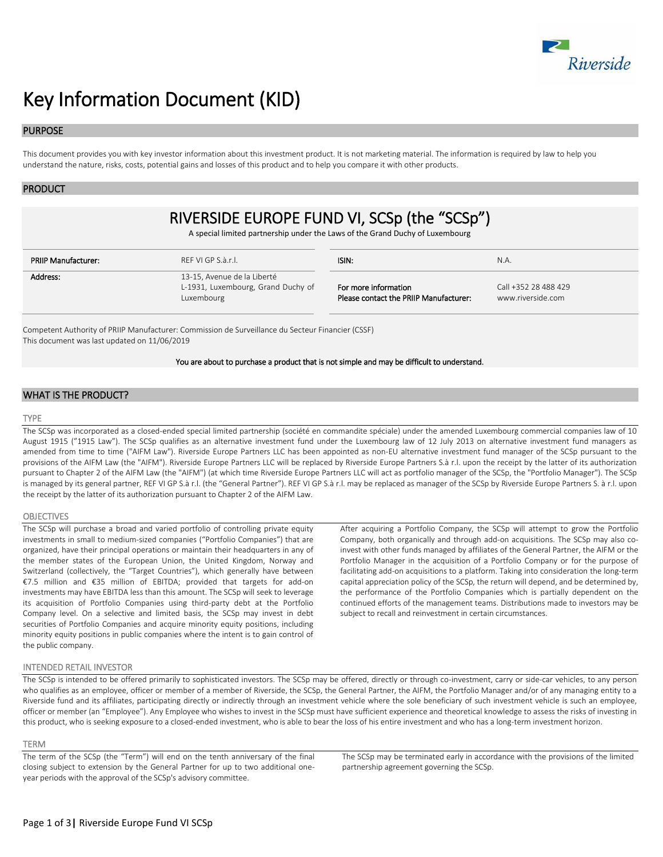

# Key Information Document (KID)

## PURPOSE

This document provides you with key investor information about this investment product. It is not marketing material. The information is required by law to help you understand the nature, risks, costs, potential gains and losses of this product and to help you compare it with other products.

## PRODUCT

## RIVERSIDE EUROPE FUND VI, SCSp (the "SCSp")

A special limited partnership under the Laws of the Grand Duchy of Luxembourg

| PRIIP Manufacturer: | RFF VI GP S.à.r.l.                                                              | ISIN:                                                          | N.A.                                      |
|---------------------|---------------------------------------------------------------------------------|----------------------------------------------------------------|-------------------------------------------|
| Address:            | 13-15, Avenue de la Liberté<br>L-1931, Luxembourg, Grand Duchy of<br>Luxembourg | For more information<br>Please contact the PRIIP Manufacturer: | Call +352 28 488 429<br>www.riverside.com |

Competent Authority of PRIIP Manufacturer: Commission de Surveillance du Secteur Financier (CSSF) This document was last updated on 11/06/2019

#### You are about to purchase a product that is not simple and may be difficult to understand.

## WHAT IS THE PRODUCT?

#### TYPE

The SCSp was incorporated as a closed-ended special limited partnership (société en commandite spéciale) under the amended Luxembourg commercial companies law of 10 August 1915 ("1915 Law"). The SCSp qualifies as an alternative investment fund under the Luxembourg law of 12 July 2013 on alternative investment fund managers as amended from time to time ("AIFM Law"). Riverside Europe Partners LLC has been appointed as non-EU alternative investment fund manager of the SCSp pursuant to the provisions of the AIFM Law (the "AIFM"). Riverside Europe Partners LLC will be replaced by Riverside Europe Partners S.à r.l. upon the receipt by the latter of its authorization pursuant to Chapter 2 of the AIFM Law (the "AIFM") (at which time Riverside Europe Partners LLC will act as portfolio manager of the SCSp, the "Portfolio Manager"). The SCSp is managed by its general partner, REF VI GP S.à r.l. (the "General Partner"). REF VI GP S.à r.l. may be replaced as manager of the SCSp by Riverside Europe Partners S. à r.l. upon the receipt by the latter of its authorization pursuant to Chapter 2 of the AIFM Law.

#### **OBJECTIVES**

The SCSp will purchase a broad and varied portfolio of controlling private equity investments in small to medium-sized companies ("Portfolio Companies") that are organized, have their principal operations or maintain their headquarters in any of the member states of the European Union, the United Kingdom, Norway and Switzerland (collectively, the "Target Countries"), which generally have between €7.5 million and €35 million of EBITDA; provided that targets for add-on investments may have EBITDA less than this amount. The SCSp will seek to leverage its acquisition of Portfolio Companies using third-party debt at the Portfolio Company level. On a selective and limited basis, the SCSp may invest in debt securities of Portfolio Companies and acquire minority equity positions, including minority equity positions in public companies where the intent is to gain control of the public company.

After acquiring a Portfolio Company, the SCSp will attempt to grow the Portfolio Company, both organically and through add-on acquisitions. The SCSp may also coinvest with other funds managed by affiliates of the General Partner, the AIFM or the Portfolio Manager in the acquisition of a Portfolio Company or for the purpose of facilitating add-on acquisitions to a platform. Taking into consideration the long-term capital appreciation policy of the SCSp, the return will depend, and be determined by, the performance of the Portfolio Companies which is partially dependent on the continued efforts of the management teams. Distributions made to investors may be subject to recall and reinvestment in certain circumstances.

## INTENDED RETAIL INVESTOR

The SCSp is intended to be offered primarily to sophisticated investors. The SCSp may be offered, directly or through co-investment, carry or side-car vehicles, to any person who qualifies as an employee, officer or member of a member of Riverside, the SCSp, the General Partner, the AIFM, the Portfolio Manager and/or of any managing entity to a Riverside fund and its affiliates, participating directly or indirectly through an investment vehicle where the sole beneficiary of such investment vehicle is such an employee, officer or member (an "Employee"). Any Employee who wishes to invest in the SCSp must have sufficient experience and theoretical knowledge to assess the risks of investing in this product, who is seeking exposure to a closed-ended investment, who is able to bear the loss of his entire investment and who has a long-term investment horizon.

#### TERM

The term of the SCSp (the "Term") will end on the tenth anniversary of the final closing subject to extension by the General Partner for up to two additional oneyear periods with the approval of the SCSp's advisory committee.

The SCSp may be terminated early in accordance with the provisions of the limited partnership agreement governing the SCSp.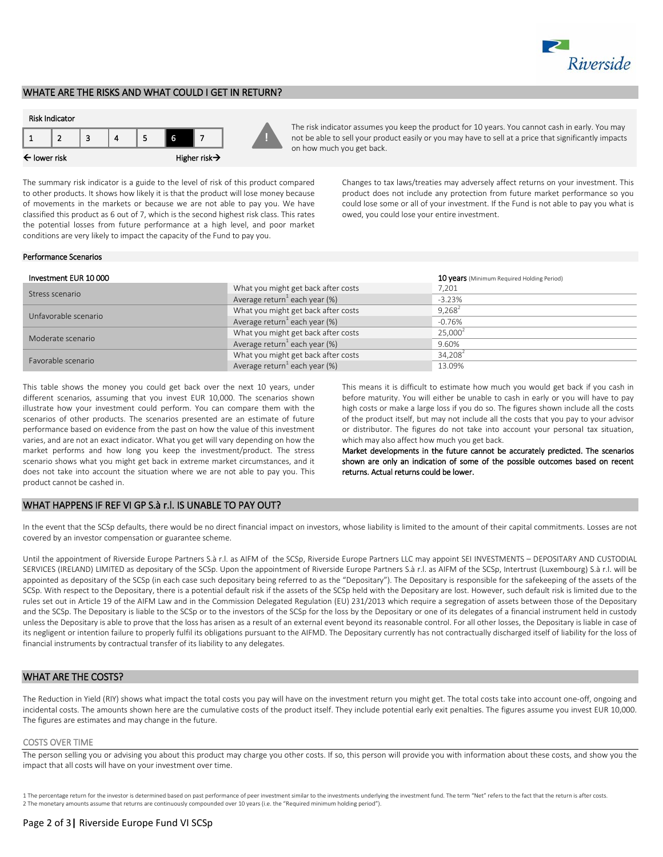

## WHATE ARE THE RISKS AND WHAT COULD I GET IN RETURN?

## Risk Indicator



The risk indicator assumes you keep the product for 10 years. You cannot cash in early. You may not be able to sell your product easily or you may have to sell at a price that significantly impacts on how much you get back.

The summary risk indicator is a guide to the level of risk of this product compared to other products. It shows how likely it is that the product will lose money because of movements in the markets or because we are not able to pay you. We have classified this product as 6 out of 7, which is the second highest risk class. This rates the potential losses from future performance at a high level, and poor market conditions are very likely to impact the capacity of the Fund to pay you.

Changes to tax laws/treaties may adversely affect returns on your investment. This product does not include any protection from future market performance so you could lose some or all of your investment. If the Fund is not able to pay you what is owed, you could lose your entire investment.

#### Performance Scenarios

| Investment EUR 10000 |                                           | 10 years (Minimum Required Holding Period) |
|----------------------|-------------------------------------------|--------------------------------------------|
| Stress scenario      | What you might get back after costs       | 7,201                                      |
|                      | Average return <sup>1</sup> each year (%) | $-3.23%$                                   |
| Unfavorable scenario | What you might get back after costs       | $9.268^2$                                  |
|                      | Average return each year $(\%)$           | $-0.76%$                                   |
| Moderate scenario    | What you might get back after costs       | 25.000 <sup>2</sup>                        |
|                      | Average return <sup>1</sup> each year (%) | 9.60%                                      |
| Favorable scenario   | What you might get back after costs       | 34.208 <sup>2</sup>                        |
|                      | Average return <sup>1</sup> each year (%) | 13.09%                                     |

**!**

This table shows the money you could get back over the next 10 years, under different scenarios, assuming that you invest EUR 10,000. The scenarios shown illustrate how your investment could perform. You can compare them with the scenarios of other products. The scenarios presented are an estimate of future performance based on evidence from the past on how the value of this investment varies, and are not an exact indicator. What you get will vary depending on how the market performs and how long you keep the investment/product. The stress scenario shows what you might get back in extreme market circumstances, and it does not take into account the situation where we are not able to pay you. This product cannot be cashed in.

This means it is difficult to estimate how much you would get back if you cash in before maturity. You will either be unable to cash in early or you will have to pay high costs or make a large loss if you do so. The figures shown include all the costs of the product itself, but may not include all the costs that you pay to your advisor or distributor. The figures do not take into account your personal tax situation, which may also affect how much you get back.

Market developments in the future cannot be accurately predicted. The scenarios shown are only an indication of some of the possible outcomes based on recent returns. Actual returns could be lower.

## WHAT HAPPENS IF REF VI GP S.à r.l. IS UNABLE TO PAY OUT?

In the event that the SCSp defaults, there would be no direct financial impact on investors, whose liability is limited to the amount of their capital commitments. Losses are not covered by an investor compensation or guarantee scheme.

Until the appointment of Riverside Europe Partners S.à r.l. as AIFM of the SCSp, Riverside Europe Partners LLC may appoint SEI INVESTMENTS – DEPOSITARY AND CUSTODIAL SERVICES (IRELAND) LIMITED as depositary of the SCSp. Upon the appointment of Riverside Europe Partners S.à r.l. as AIFM of the SCSp, Intertrust (Luxembourg) S.à r.l. will be appointed as depositary of the SCSp (in each case such depositary being referred to as the "Depositary"). The Depositary is responsible for the safekeeping of the assets of the SCSp. With respect to the Depositary, there is a potential default risk if the assets of the SCSp held with the Depositary are lost. However, such default risk is limited due to the rules set out in Article 19 of the AIFM Law and in the Commission Delegated Regulation (EU) 231/2013 which require a segregation of assets between those of the Depositary and the SCSp. The Depositary is liable to the SCSp or to the investors of the SCSp for the loss by the Depositary or one of its delegates of a financial instrument held in custody unless the Depositary is able to prove that the loss has arisen as a result of an external event beyond its reasonable control. For all other losses, the Depositary is liable in case of its negligent or intention failure to properly fulfil its obligations pursuant to the AIFMD. The Depositary currently has not contractually discharged itself of liability for the loss of financial instruments by contractual transfer of its liability to any delegates.

## WHAT ARE THE COSTS?

The Reduction in Yield (RIY) shows what impact the total costs you pay will have on the investment return you might get. The total costs take into account one-off, ongoing and incidental costs. The amounts shown here are the cumulative costs of the product itself. They include potential early exit penalties. The figures assume you invest EUR 10,000. The figures are estimates and may change in the future.

#### COSTS OVER TIME

The person selling you or advising you about this product may charge you other costs. If so, this person will provide you with information about these costs, and show you the impact that all costs will have on your investment over time.

1 The percentage return for the investor is determined based on past performance of peer investment similar to the investments underlying the investment fund. The term "Net" refers to the fact that the return is after cost 2 The monetary amounts assume that returns are continuously compounded over 10 years (i.e. the "Required minimum holding period").